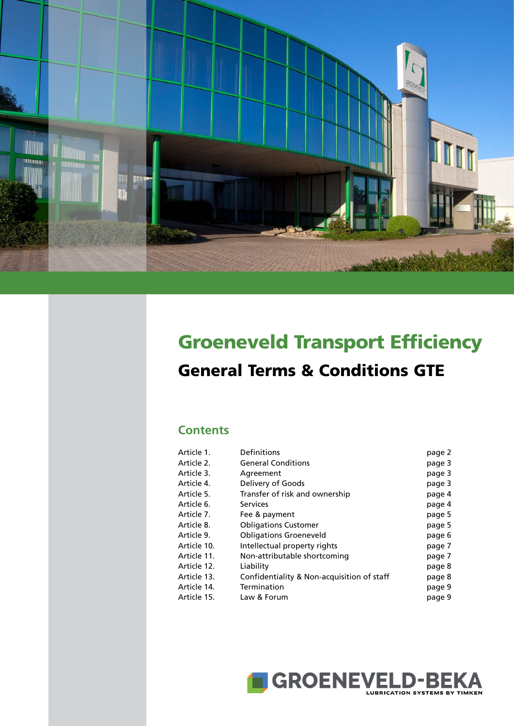

# Groeneveld Transport Efficiency General Terms & Conditions GTE

# **Contents**

| Article 1.  | Definitions                                | page 2 |
|-------------|--------------------------------------------|--------|
| Article 2.  | <b>General Conditions</b>                  | page 3 |
| Article 3.  | Agreement                                  | page 3 |
| Article 4.  | Delivery of Goods                          | page 3 |
| Article 5.  | Transfer of risk and ownership             | page 4 |
| Article 6.  | <b>Services</b>                            | page 4 |
| Article 7.  | Fee & payment                              | page 5 |
| Article 8.  | <b>Obligations Customer</b>                | page 5 |
| Article 9.  | <b>Obligations Groeneveld</b>              | page 6 |
| Article 10. | Intellectual property rights               | page 7 |
| Article 11. | Non-attributable shortcoming               | page 7 |
| Article 12. | Liability                                  | page 8 |
| Article 13. | Confidentiality & Non-acquisition of staff | page 8 |
| Article 14. | Termination                                | page 9 |
| Article 15. | Law & Forum                                | page 9 |
|             |                                            |        |

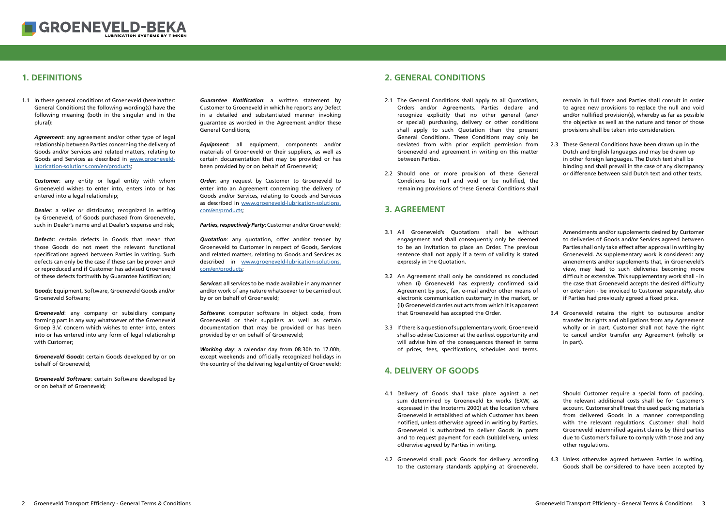# **1. DEFINITIONS 2. GENERAL CONDITIONS**

*Guarantee Notification*: a written statement by Customer to Groeneveld in which he reports any Defect in a detailed and substantiated manner invoking guarantee as worded in the Agreement and/or these General Conditions;

**Order:** any request by Customer to Groeneveld to enter into an Agreement concerning the delivery of Goods and/or Services, relating to Goods and Services as described in [www.groeneveld-lubrication-solutions.](http://www.groeneveld-lubrication-solutions.com/en/products) [com/en/products;](http://www.groeneveld-lubrication-solutions.com/en/products)

*Equipment*: all equipment, components and/or materials of Groeneveld or their suppliers, as well as certain documentation that may be provided or has been provided by or on behalf of Groeneveld;

*Parties, respectively Party*: Customer and/or Groeneveld;

<span id="page-1-0"></span>

1.1 In these general conditions of Groeneveld (hereinafter: General Conditions) the following wording(s) have the following meaning (both in the singular and in the plural):

> *Quotation*: any quotation, offer and/or tender by Groeneveld to Customer in respect of Goods, Services and related matters, relating to Goods and Services as described in [www.groeneveld-lubrication-solutions.](http://www.groeneveld-lubrication-solutions.com/en/products) [com/en/products;](http://www.groeneveld-lubrication-solutions.com/en/products)

> *Services*: all services to be made available in any manner and/or work of any nature whatsoever to be carried out by or on behalf of Groeneveld;

*Software*: computer software in object code, from Groeneveld or their suppliers as well as certain documentation that may be provided or has been provided by or on behalf of Groeneveld;

*Working day*: a calendar day from 08.30h to 17.00h, except weekends and officially recognized holidays in the country of the delivering legal entity of Groeneveld;

- 1.1 In these general conditions of Groeneveld (hereinafter: **Guarantee Notification**: a written statement by 2.1 The General Conditions shall apply to all Quotations, Orders and/or Agreements. Parties declare and recognize explicitly that no other general (and/ or special) purchasing, delivery or other conditions shall apply to such Quotation than the present General Conditions. These Conditions may only be deviated from with prior explicit permission from Groeneveld and agreement in writing on this matter between Parties.
	- 2.2 Should one or more provision of these General Conditions be null and void or be nullified, the remaining provisions of these General Conditions shall

*Agreement*: any agreement and/or other type of legal relationship between Parties concerning the delivery of Goods and/or Services and related matters, relating to Goods and Services as described in [www.groeneveld](http://www.groeneveld-lubrication-solutions.com/en/products)[lubrication-solutions.com/en/products](http://www.groeneveld-lubrication-solutions.com/en/products);

*Customer*: any entity or legal entity with whom Groeneveld wishes to enter into, enters into or has entered into a legal relationship;

2.3 These General Conditions have been drawn up in the Dutch and English languages and may be drawn up in other foreign languages. The Dutch text shall be binding and shall prevail in the case of any discrepancy or difference between said Dutch text and other texts.

*Dealer*: a seller or distributor, recognized in writing by Groeneveld, of Goods purchased from Groeneveld, such in Dealer's name and at Dealer's expense and risk;

*Defects*: certain defects in Goods that mean that those Goods do not meet the relevant functional specifications agreed between Parties in writing. Such defects can only be the case if these can be proven and/ or reproduced and if Customer has advised Groeneveld of these defects forthwith by Guarantee Notification;

- 3.1 All Groeneveld's Quotations shall be without engagement and shall consequently only be deemed to be an invitation to place an Order. The previous sentence shall not apply if a term of validity is stated expressly in the Quotation.
- 3.2 An Agreement shall only be considered as concluded when (i) Groeneveld has expressly confirmed said Agreement by post, fax, e-mail and/or other means of electronic communication customary in the market, or (ii) Groeneveld carries out acts from which it is apparent that Groeneveld has accepted the Order.
- 3.3 If there is a question of supplementary work, Groeneveld shall so advise Customer at the earliest opportunity and will advise him of the consequences thereof in terms of prices, fees, specifications, schedules and terms.

*Goods*: Equipment, Software, Groeneveld Goods and/or Groeneveld Software;

*Groeneveld*: any company or subsidiary company forming part in any way whatsoever of the Groeneveld Groep B.V. concern which wishes to enter into, enters into or has entered into any form of legal relationship with Customer;

3.4 Groeneveld retains the right to outsource and/or transfer its rights and obligations from any Agreement wholly or in part. Customer shall not have the right to cancel and/or transfer any Agreement (wholly or in part).

*Groeneveld Goods*: certain Goods developed by or on behalf of Groeneveld;

*Groeneveld Software*: certain Software developed by or on behalf of Groeneveld;

- 4.1 Delivery of Goods shall take place against a net sum determined by Groeneveld Ex works (EXW, as expressed in the Incoterms 2000) at the location where Groeneveld is established of which Customer has been notified, unless otherwise agreed in writing by Parties. Groeneveld is authorized to deliver Goods in parts and to request payment for each (sub)delivery, unless otherwise agreed by Parties in writing.
- 4.2 Groeneveld shall pack Goods for delivery according to the customary standards applying at Groeneveld.

4.3 Unless otherwise agreed between Parties in writing, Goods shall be considered to have been accepted by

remain in full force and Parties shall consult in order to agree new provisions to replace the null and void and/or nullified provision(s), whereby as far as possible the objective as well as the nature and tenor of those provisions shall be taken into consideration.

#### **3. AGREEMENT**

Amendments and/or supplements desired by Customer to deliveries of Goods and/or Services agreed between Parties shall only take effect after approval in writing by Groeneveld. As supplementary work is considered: any amendments and/or supplements that, in Groeneveld's view, may lead to such deliveries becoming more difficult or extensive. This supplementary work shall - in the case that Groeneveld accepts the desired difficulty or extension - be invoiced to Customer separately, also if Parties had previously agreed a fixed price.

#### **4. DELIVERY OF GOODS**

Should Customer require a special form of packing, the relevant additional costs shall be for Customer's account. Customer shall treat the used packing materials from delivered Goods in a manner corresponding with the relevant regulations. Customer shall hold Groeneveld indemnified against claims by third parties due to Customer's failure to comply with those and any other regulations.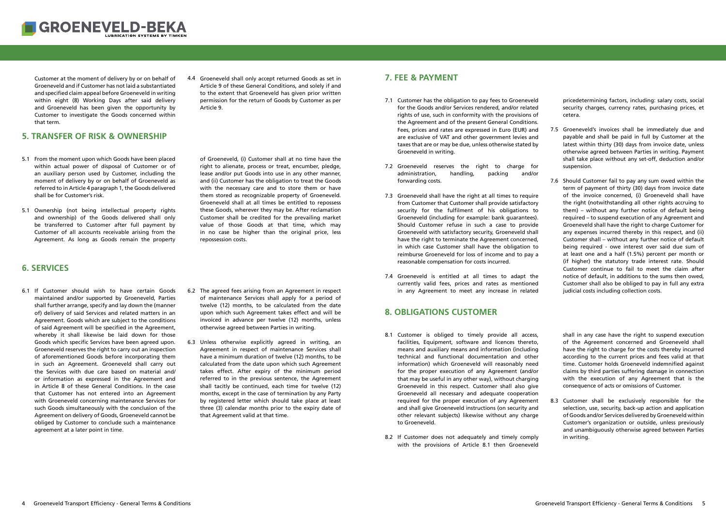6.1 If Customer should wish to have certain Goods maintained and/or supported by Groeneveld, Parties shall further arrange, specify and lay down the (manner of) delivery of said Services and related matters in an Agreement. Goods which are subject to the conditions of said Agreement will be specified in the Agreement, whereby it shall likewise be laid down for those Goods which specific Services have been agreed upon. Groeneveld reserves the right to carry out an inspection of aforementioned Goods before incorporating them in such an Agreement. Groeneveld shall carry out the Services with due care based on material and/ or information as expressed in the Agreement and in Article 8 of these General Conditions. In the case that Customer has not entered into an Agreement with Groeneveld concerning maintenance Services for such Goods simultaneously with the conclusion of the Agreement on delivery of Goods, Groeneveld cannot be obliged by Customer to conclude such a maintenance agreement at a later point in time.

<span id="page-2-0"></span>

Customer at the moment of delivery by or on behalf of Groeneveld and if Customer has not laid a substantiated and specified claim appeal before Groeneveld in writing within eight (8) Working Days after said delivery and Groeneveld has been given the opportunity by Customer to investigate the Goods concerned within that term.

- 7.1 Customer has the obligation to pay fees to Groeneveld for the Goods and/or Services rendered, and/or related rights of use, such in conformity with the provisions of the Agreement and of the present General Conditions. Fees, prices and rates are expressed in Euro (EUR) and are exclusive of VAT and other government levies and taxes that are or may be due, unless otherwise stated by Groeneveld in writing.
- 7.2 Groeneveld reserves the right to charge for administration, handling, packing and/or forwarding costs.
- 7.3 Groeneveld shall have the right at all times to require from Customer that Customer shall provide satisfactory security for the fulfilment of his obligations to Groeneveld (including for example: bank guarantees). Should Customer refuse in such a case to provide Groeneveld with satisfactory security, Groeneveld shall have the right to terminate the Agreement concerned, in which case Customer shall have the obligation to reimburse Groeneveld for loss of income and to pay a reasonable compensation for costs incurred.
- 7.4 Groeneveld is entitled at all times to adapt the currently valid fees, prices and rates as mentioned in any Agreement to meet any increase in related

- 8.1 Customer is obliged to timely provide all access, facilities, Equipment, software and licences thereto, means and auxiliary means and information (including technical and functional documentation and other information) which Groeneveld will reasonably need for the proper execution of any Agreement (and/or that may be useful in any other way), without charging Groeneveld in this respect. Customer shall also give Groeneveld all necessary and adequate cooperation required for the proper execution of any Agreement and shall give Groeneveld instructions (on security and other relevant subjects) likewise without any charge to Groeneveld.
- 8.2 If Customer does not adequately and timely comply with the provisions of Article 8.1 then Groeneveld
- 5.1 From the moment upon which Goods have been placed within actual power of disposal of Customer or of an auxiliary person used by Customer, including the moment of delivery by or on behalf of Groeneveld as referred to in Article 4 paragraph 1, the Goods delivered shall be for Customer's risk.
- 5.1 Ownership (not being intellectual property rights and ownership) of the Goods delivered shall only be transferred to Customer after full payment by Customer of all accounts receivable arising from the Agreement. As long as Goods remain the property

- 6.2 The agreed fees arising from an Agreement in respect of maintenance Services shall apply for a period of twelve (12) months, to be calculated from the date upon which such Agreement takes effect and will be invoiced in advance per twelve (12) months, unless otherwise agreed between Parties in writing.
- Unless otherwise explicitly agreed in writing, an 6.3 Agreement in respect of maintenance Services shall have a minimum duration of twelve (12) months, to be calculated from the date upon which such Agreement takes effect. After expiry of the minimum period referred to in the previous sentence, the Agreement shall tacitly be continued, each time for twelve (12) months, except in the case of termination by any Party by registered letter which should take place at least three (3) calendar months prior to the expiry date of that Agreement valid at that time.

4.4 Groeneveld shall only accept returned Goods as set in Article 9 of these General Conditions, and solely if and to the extent that Groeneveld has given prior written permission for the return of Goods by Customer as per Article 9.

- 7.5 Groeneveld's invoices shall be immediately due and payable and shall be paid in full by Customer at the latest within thirty (30) days from invoice date, unless otherwise agreed between Parties in writing. Payment shall take place without any set-off, deduction and/or suspension.
- 7.6 Should Customer fail to pay any sum owed within the term of payment of thirty (30) days from invoice date of the invoice concerned, (i) Groeneveld shall have the right (notwithstanding all other rights accruing to them) – without any further notice of default being required – to suspend execution of any Agreement and Groeneveld shall have the right to charge Customer for any expenses incurred thereby in this respect, and (ii) Customer shall – without any further notice of default being required - owe interest over said due sum of at least one and a half (1.5%) percent per month or (if higher) the statutory trade interest rate. Should Customer continue to fail to meet the claim after notice of default, in additions to the sums then owed, Customer shall also be obliged to pay in full any extra judicial costs including collection costs.

8.3 Customer shall be exclusively responsible for the selection, use, security, back-up action and application of Goods and/or Services delivered by Groeneveld within Customer's organization or outside, unless previously and unambiguously otherwise agreed between Parties in writing.

pricedetermining factors, including: salary costs, social security charges, currency rates, purchasing prices, et cetera.

shall in any case have the right to suspend execution of the Agreement concerned and Groeneveld shall have the right to charge for the costs thereby incurred according to the current prices and fees valid at that time. Customer holds Groeneveld indemnified against claims by third parties suffering damage in connection with the execution of any Agreement that is the consequence of acts or omissions of Customer.

of Groeneveld, (i) Customer shall at no time have the right to alienate, process or treat, encumber, pledge, lease and/or put Goods into use in any other manner, and (ii) Customer has the obligation to treat the Goods with the necessary care and to store them or have them stored as recognizable property of Groeneveld. Groeneveld shall at all times be entitled to repossess these Goods, wherever they may be. After reclamation Customer shall be credited for the prevailing market value of those Goods at that time, which may in no case be higher than the original price, less repossession costs.

#### **5. TRANSFER OF RISK & OWNERSHIP**

# **6. SERVICES**

# **7. FEE & PAYMENT**

# **8. OBLIGATIONS CUSTOMER**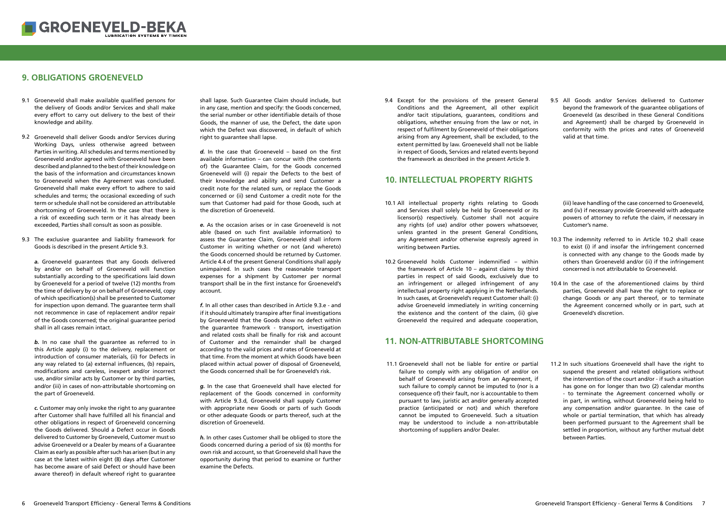# <span id="page-3-0"></span>**9. OBLIGATIONS GROENEVELD**

shall lapse. Such Guarantee Claim should include, but in any case, mention and specify: the Goods concerned, the serial number or other identifiable details of those Goods, the manner of use, the Defect, the date upon which the Defect was discovered, in default of which right to guarantee shall lapse.

d. In the case that Groeneveld – based on the first available information – can concur with (the contents of) the Guarantee Claim, for the Goods concerned Groeneveld will (i) repair the Defects to the best of their knowledge and ability and send Customer a credit note for the related sum, or replace the Goods concerned or (ii) send Customer a credit note for the sum that Customer had paid for those Goods, such at the discretion of Groeneveld.

*e.* As the occasion arises or in case Groeneveld is not able (based on such first available information) to assess the Guarantee Claim, Groeneveld shall inform Customer in writing whether or not (and whereto) the Goods concerned should be returned by Customer. Article 4.4 of the present General Conditions shall apply unimpaired. In such cases the reasonable transport expenses for a shipment by Customer per normal transport shall be in the first instance for Groeneveld's account.

*f.* In all other cases than described in Article 9.3.e - and if it should ultimately transpire after final investigations by Groeneveld that the Goods show no defect within the guarantee framework - transport, investigation and related costs shall be finally for risk and account of Customer and the remainder shall be charged according to the valid prices and rates of Groeneveld at that time. From the moment at which Goods have been placed within actual power of disposal of Groeneveld, the Goods concerned shall be for Groeneveld's risk.

- 9.1 Groeneveld shall make available qualified persons for the delivery of Goods and/or Services and shall make every effort to carry out delivery to the best of their knowledge and ability.
- 9.2 Groeneveld shall deliver Goods and/or Services during Working Days, unless otherwise agreed between Parties in writing. All schedules and terms mentioned by Groeneveld and/or agreed with Groeneveld have been described and planned to the best of their knowledge on the basis of the information and circumstances known to Groeneveld when the Agreement was concluded. Groeneveld shall make every effort to adhere to said schedules and terms; the occasional exceeding of such term or schedule shall not be considered an attributable shortcoming of Groeneveld. In the case that there is a risk of exceeding such term or it has already been exceeded, Parties shall consult as soon as possible.
- 9.3 The exclusive guarantee and liability framework for Goods is described in the present Article 9.3.

*g.* In the case that Groeneveld shall have elected for replacement of the Goods concerned in conformity with Article 9.3.d, Groeneveld shall supply Customer with appropriate new Goods or parts of such Goods or other adequate Goods or parts thereof, such at the discretion of Groeneveld.

*b*. In no case shall the guarantee as referred to in this Article apply (i) to the delivery, replacement or introduction of consumer materials, (ii) for Defects in any way related to (a) external influences, (b) repairs, modifications and careless, inexpert and/or incorrect use, and/or similar acts by Customer or by third parties, and/or (iii) in cases of non-attributable shortcoming on the part of Groeneveld.

> *h.* In other cases Customer shall be obliged to store the Goods concerned during a period of six (6) months for own risk and account, so that Groeneveld shall have the opportunity during that period to examine or further examine the Defects.

- 10.1 All intellectual property rights relating to Goods and Services shall solely be held by Groeneveld or its licensor(s) respectively. Customer shall not acquire any rights (of use) and/or other powers whatsoever, unless granted in the present General Conditions, any Agreement and/or otherwise expressly agreed in writing between Parties.
- 10.2 Groeneveld holds Customer indemnified  $-$  within the framework of Article 10 – against claims by third parties in respect of said Goods, exclusively due to an infringement or alleged infringement of any intellectual property right applying in the Netherlands. In such cases, at Groeneveld's request Customer shall: (i) advise Groeneveld immediately in writing concerning the existence and the content of the claim, (ii) give Groeneveld the required and adequate cooperation,

*a.* Groeneveld guarantees that any Goods delivered by and/or on behalf of Groeneveld will function substantially according to the specifications laid down by Groeneveld for a period of twelve (12) months from the time of delivery by or on behalf of Groeneveld, copy of which specification(s) shall be presented to Customer for inspection upon demand. The guarantee term shall not recommence in case of replacement and/or repair of the Goods concerned; the original guarantee period shall in all cases remain intact.

> 11.1 Groeneveld shall not be liable for entire or partial failure to comply with any obligation of and/or on behalf of Groeneveld arising from an Agreement, if such failure to comply cannot be imputed to (nor is a consequence of) their fault, nor is accountable to them pursuant to law, juristic act and/or generally accepted practice (anticipated or not) and which therefore cannot be imputed to Groeneveld. Such a situation may be understood to include a non-attributable shortcoming of suppliers and/or Dealer.

9.4 Except for the provisions of the present General 9.5 All Goods and/or Services delivered to Customer beyond the framework of the guarantee obligations of Groeneveld (as described in these General Conditions and Agreement) shall be charged by Groeneveld in conformity with the prices and rates of Groeneveld valid at that time. 9.5 All Goods and/or Services delivered to Customer

- 10.3 The indemnity referred to in Article 10.2 shall cease to exist (i) if and insofar the infringement concerned is connected with any change to the Goods made by others than Groeneveld and/or (ii) if the infringement concerned is not attributable to Groeneveld.
- 10.4 In the case of the aforementioned claims by third parties, Groeneveld shall have the right to replace or change Goods or any part thereof, or to terminate the Agreement concerned wholly or in part, such at Groeneveld's discretion.
- 11.1 Groeneveld shall not be liable for entire or partial 11.2 In such situations Groeneveld shall have the right to suspend the present and related obligations without the intervention of the court and/or - if such a situation has gone on for longer than two (2) calendar months - to terminate the Agreement concerned wholly or in part, in writing, without Groeneveld being held to any compensation and/or guarantee. In the case of whole or partial termination, that which has already been performed pursuant to the Agreement shall be settled in proportion, without any further mutual debt between Parties.

*c.* Customer may only invoke the right to any guarantee after Customer shall have fulfilled all his financial and other obligations in respect of Groeneveld concerning the Goods delivered. Should a Defect occur in Goods delivered to Customer by Groeneveld, Customer must so advise Groeneveld or a Dealer by means of a Guarantee Claim as early as possible after such has arisen (but in any case at the latest within eight (8) days after Customer has become aware of said Defect or should have been aware thereof) in default whereof right to guarantee

Conditions and the Agreement, all other explicit and/or tacit stipulations, guarantees, conditions and obligations, whether ensuing from the law or not, in respect of fulfilment by Groeneveld of their obligations arising from any Agreement, shall be excluded, to the extent permitted by law. Groeneveld shall not be liable in respect of Goods, Services and related events beyond the framework as described in the present Article 9.

#### **10. INTELLECTUAL PROPERTY RIGHTS**

(iii) leave handling of the case concerned to Groeneveld, and (iv) if necessary provide Groeneveld with adequate powers of attorney to refute the claim, if necessary in Customer's name.

#### **11. NON-ATTRIBUTABLE SHORTCOMING**